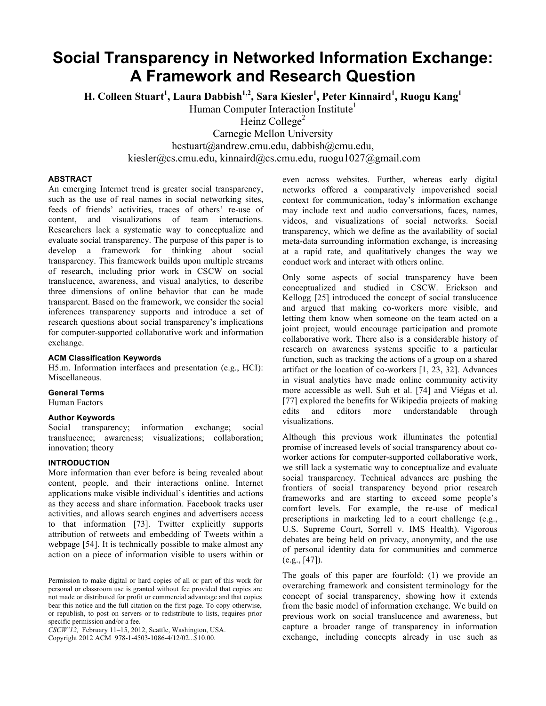# **Social Transparency in Networked Information Exchange: A Framework and Research Question**

**H. Colleen Stuart<sup>1</sup> , Laura Dabbish1,2, Sara Kiesler1 , Peter Kinnaird<sup>1</sup> , Ruogu Kang1**

Human Computer Interaction Institute<sup>1</sup>

Heinz College<sup>2</sup>

Carnegie Mellon University

hcstuart@andrew.cmu.edu, dabbish@cmu.edu,

kiesler@cs.cmu.edu, kinnaird@cs.cmu.edu, ruogu1027@gmail.com

### **ABSTRACT**

An emerging Internet trend is greater social transparency, such as the use of real names in social networking sites, feeds of friends' activities, traces of others' re-use of content, and visualizations of team interactions. Researchers lack a systematic way to conceptualize and evaluate social transparency. The purpose of this paper is to develop a framework for thinking about social transparency. This framework builds upon multiple streams of research, including prior work in CSCW on social translucence, awareness, and visual analytics, to describe three dimensions of online behavior that can be made transparent. Based on the framework, we consider the social inferences transparency supports and introduce a set of research questions about social transparency's implications for computer-supported collaborative work and information exchange.

#### **ACM Classification Keywords**

H5.m. Information interfaces and presentation (e.g., HCI): Miscellaneous.

## **General Terms**

Human Factors

#### **Author Keywords**

Social transparency; information exchange; social translucence; awareness; visualizations; collaboration; innovation; theory

## **INTRODUCTION**

More information than ever before is being revealed about content, people, and their interactions online. Internet applications make visible individual's identities and actions as they access and share information. Facebook tracks user activities, and allows search engines and advertisers access to that information [73]. Twitter explicitly supports attribution of retweets and embedding of Tweets within a webpage [54]. It is technically possible to make almost any action on a piece of information visible to users within or

*CSCW'12,* February 11–15, 2012, Seattle, Washington, USA.

Copyright 2012 ACM 978-1-4503-1086-4/12/02...\$10.00.

even across websites. Further, whereas early digital networks offered a comparatively impoverished social context for communication, today's information exchange may include text and audio conversations, faces, names, videos, and visualizations of social networks. Social transparency, which we define as the availability of social meta-data surrounding information exchange, is increasing at a rapid rate, and qualitatively changes the way we conduct work and interact with others online.

Only some aspects of social transparency have been conceptualized and studied in CSCW. Erickson and Kellogg [25] introduced the concept of social translucence and argued that making co-workers more visible, and letting them know when someone on the team acted on a joint project, would encourage participation and promote collaborative work. There also is a considerable history of research on awareness systems specific to a particular function, such as tracking the actions of a group on a shared artifact or the location of co-workers [1, 23, 32]. Advances in visual analytics have made online community activity more accessible as well. Suh et al. [74] and Viégas et al. [77] explored the benefits for Wikipedia projects of making edits and editors more understandable through visualizations.

Although this previous work illuminates the potential promise of increased levels of social transparency about coworker actions for computer-supported collaborative work, we still lack a systematic way to conceptualize and evaluate social transparency. Technical advances are pushing the frontiers of social transparency beyond prior research frameworks and are starting to exceed some people's comfort levels. For example, the re-use of medical prescriptions in marketing led to a court challenge (e.g., U.S. Supreme Court, Sorrell v. IMS Health). Vigorous debates are being held on privacy, anonymity, and the use of personal identity data for communities and commerce (e.g., [47]).

The goals of this paper are fourfold: (1) we provide an overarching framework and consistent terminology for the concept of social transparency, showing how it extends from the basic model of information exchange. We build on previous work on social translucence and awareness, but capture a broader range of transparency in information exchange, including concepts already in use such as

Permission to make digital or hard copies of all or part of this work for personal or classroom use is granted without fee provided that copies are not made or distributed for profit or commercial advantage and that copies bear this notice and the full citation on the first page. To copy otherwise, or republish, to post on servers or to redistribute to lists, requires prior specific permission and/or a fee.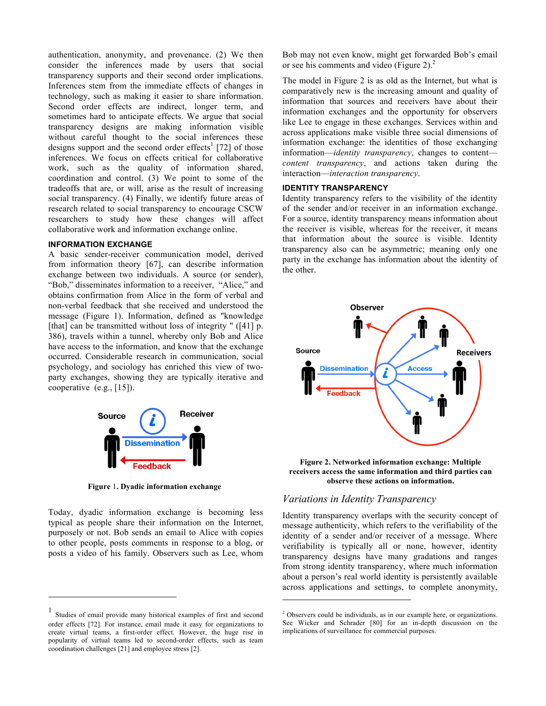authentication, anonymity, and provenance. (2) We then consider the inferences made by users that social transparency supports and their second order implications. Inferences stem from the immediate effects of changes in technology, such as making it easier to share information. Second order effects are indirect, longer term, and sometimes hard to anticipate effects. We argue that social transparency designs are making information visible without careful thought to the social inferences these designs support and the second order effects<sup>1</sup> [72] of those inferences. We focus on effects critical for collaborative work, such as the quality of information shared, coordination and control. (3) We point to some of the tradeoffs that are, or will, arise as the result of increasing social transparency. (4) Finally, we identify future areas of research related to social transparency to encourage CSCW researchers to study how these changes will affect collaborative work and information exchange online.

#### **INFORMATION EXCHANGE**

A basic sender-receiver communication model, derived from information theory [67], can describe information exchange between two individuals. A source (or sender), "Bob," disseminates information to a receiver, "Alice," and obtains confirmation from Alice in the form of verbal and non-verbal feedback that she received and understood the message (Figure 1). Information, defined as "knowledge [that] can be transmitted without loss of integrity " ([41] p. 386), travels within a tunnel, whereby only Bob and Alice have access to the information, and know that the exchange occurred. Considerable research in communication, social psychology, and sociology has enriched this view of twoparty exchanges, showing they are typically iterative and cooperative (e.g., [15]).



**Figure** 1**. Dyadic information exchange**

Today, dyadic information exchange is becoming less typical as people share their information on the Internet, purposely or not. Bob sends an email to Alice with copies to other people, posts comments in response to a blog, or posts a video of his family. Observers such as Lee, whom

1 Studies of email provide many historical examples of first and second order effects [72]. For instance, email made it easy for organizations to create virtual teams, a first-order effect. However, the huge rise in popularity of virtual teams led to second-order effects, such as team coordination challenges [21] and employee stress [2].

 $\overline{a}$ 

Bob may not even know, might get forwarded Bob's email or see his comments and video (Figure 2).<sup>2</sup>

The model in Figure 2 is as old as the Internet, but what is comparatively new is the increasing amount and quality of information that sources and receivers have about their information exchanges and the opportunity for observers like Lee to engage in these exchanges. Services within and across applications make visible three social dimensions of information exchange: the identities of those exchanging information—*identity transparency*, changes to content *content transparency*, and actions taken during the interaction—*interaction transparency*.

#### **IDENTITY TRANSPARENCY**

Identity transparency refers to the visibility of the identity of the sender and/or receiver in an information exchange. For a source, identity transparency means information about the receiver is visible, whereas for the receiver, it means that information about the source is visible. Identity transparency also can be asymmetric; meaning only one party in the exchange has information about the identity of the other.



**Figure 2. Networked information exchange: Multiple receivers access the same information and third parties can observe these actions on information.** 

# *Variations in Identity Transparency*

 $\overline{a}$ 

Identity transparency overlaps with the security concept of message authenticity, which refers to the verifiability of the identity of a sender and/or receiver of a message. Where verifiability is typically all or none, however, identity transparency designs have many gradations and ranges from strong identity transparency, where much information about a person's real world identity is persistently available across applications and settings, to complete anonymity,

<sup>&</sup>lt;sup>2</sup> Observers could be individuals, as in our example here, or organizations. See Wicker and Schrader [80] for an in-depth discussion on the implications of surveillance for commercial purposes.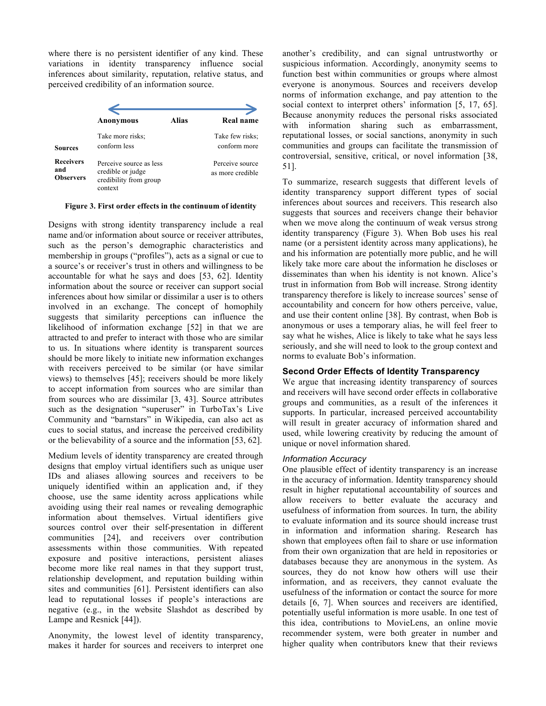where there is no persistent identifier of any kind. These variations in identity transparency influence social inferences about similarity, reputation, relative status, and perceived credibility of an information source.



**Figure 3. First order effects in the continuum of identity** 

Designs with strong identity transparency include a real name and/or information about source or receiver attributes, such as the person's demographic characteristics and membership in groups ("profiles"), acts as a signal or cue to a source's or receiver's trust in others and willingness to be accountable for what he says and does [53, 62]. Identity information about the source or receiver can support social inferences about how similar or dissimilar a user is to others involved in an exchange. The concept of homophily suggests that similarity perceptions can influence the likelihood of information exchange [52] in that we are attracted to and prefer to interact with those who are similar to us. In situations where identity is transparent sources should be more likely to initiate new information exchanges with receivers perceived to be similar (or have similar views) to themselves [45]; receivers should be more likely to accept information from sources who are similar than from sources who are dissimilar [3, 43]. Source attributes such as the designation "superuser" in TurboTax's Live Community and "barnstars" in Wikipedia, can also act as cues to social status, and increase the perceived credibility or the believability of a source and the information [53, 62].

Medium levels of identity transparency are created through designs that employ virtual identifiers such as unique user IDs and aliases allowing sources and receivers to be uniquely identified within an application and, if they choose, use the same identity across applications while avoiding using their real names or revealing demographic information about themselves. Virtual identifiers give sources control over their self-presentation in different communities [24], and receivers over contribution assessments within those communities. With repeated exposure and positive interactions, persistent aliases become more like real names in that they support trust, relationship development, and reputation building within sites and communities [61]. Persistent identifiers can also lead to reputational losses if people's interactions are negative (e.g., in the website Slashdot as described by Lampe and Resnick [44]).

Anonymity, the lowest level of identity transparency, makes it harder for sources and receivers to interpret one another's credibility, and can signal untrustworthy or suspicious information. Accordingly, anonymity seems to function best within communities or groups where almost everyone is anonymous. Sources and receivers develop norms of information exchange, and pay attention to the social context to interpret others' information [5, 17, 65]. Because anonymity reduces the personal risks associated with information sharing such as embarrassment, reputational losses, or social sanctions, anonymity in such communities and groups can facilitate the transmission of controversial, sensitive, critical, or novel information [38, 51].

To summarize, research suggests that different levels of identity transparency support different types of social inferences about sources and receivers. This research also suggests that sources and receivers change their behavior when we move along the continuum of weak versus strong identity transparency (Figure 3). When Bob uses his real name (or a persistent identity across many applications), he and his information are potentially more public, and he will likely take more care about the information he discloses or disseminates than when his identity is not known. Alice's trust in information from Bob will increase. Strong identity transparency therefore is likely to increase sources' sense of accountability and concern for how others perceive, value, and use their content online [38]. By contrast, when Bob is anonymous or uses a temporary alias, he will feel freer to say what he wishes, Alice is likely to take what he says less seriously, and she will need to look to the group context and norms to evaluate Bob's information.

## **Second Order Effects of Identity Transparency**

We argue that increasing identity transparency of sources and receivers will have second order effects in collaborative groups and communities, as a result of the inferences it supports. In particular, increased perceived accountability will result in greater accuracy of information shared and used, while lowering creativity by reducing the amount of unique or novel information shared.

## *Information Accuracy*

One plausible effect of identity transparency is an increase in the accuracy of information. Identity transparency should result in higher reputational accountability of sources and allow receivers to better evaluate the accuracy and usefulness of information from sources. In turn, the ability to evaluate information and its source should increase trust in information and information sharing. Research has shown that employees often fail to share or use information from their own organization that are held in repositories or databases because they are anonymous in the system. As sources, they do not know how others will use their information, and as receivers, they cannot evaluate the usefulness of the information or contact the source for more details [6, 7]. When sources and receivers are identified, potentially useful information is more usable. In one test of this idea, contributions to MovieLens, an online movie recommender system, were both greater in number and higher quality when contributors knew that their reviews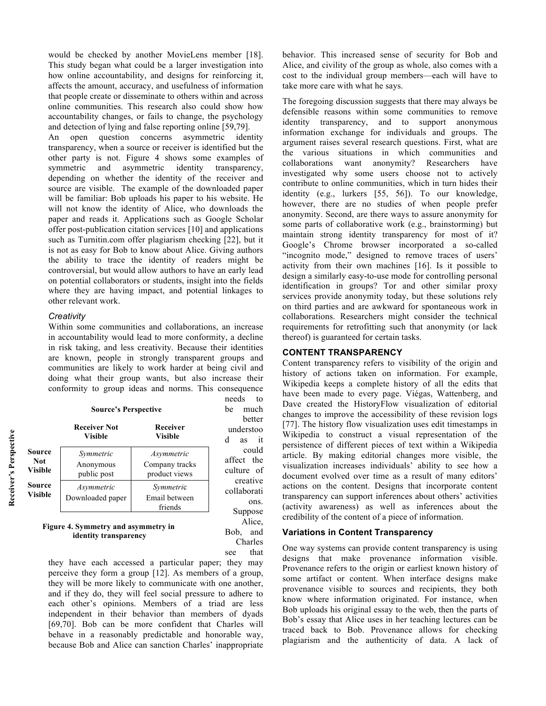would be checked by another MovieLens member [18]. This study began what could be a larger investigation into how online accountability, and designs for reinforcing it, affects the amount, accuracy, and usefulness of information that people create or disseminate to others within and across online communities. This research also could show how accountability changes, or fails to change, the psychology and detection of lying and false reporting online [59,79].

An open question concerns asymmetric identity transparency, when a source or receiver is identified but the other party is not. Figure 4 shows some examples of symmetric and asymmetric identity transparency, depending on whether the identity of the receiver and source are visible. The example of the downloaded paper will be familiar: Bob uploads his paper to his website. He will not know the identity of Alice, who downloads the paper and reads it. Applications such as Google Scholar offer post-publication citation services [10] and applications such as Turnitin.com offer plagiarism checking [22], but it is not as easy for Bob to know about Alice. Giving authors the ability to trace the identity of readers might be controversial, but would allow authors to have an early lead on potential collaborators or students, insight into the fields where they are having impact, and potential linkages to other relevant work.

## *Creativity*

Within some communities and collaborations, an increase in accountability would lead to more conformity, a decline in risk taking, and less creativity. Because their identities are known, people in strongly transparent groups and communities are likely to work harder at being civil and doing what their group wants, but also increase their conformity to group ideas and norms. This consequence

|                                               | <b>Source's Perspective</b>           | much<br>be<br>better                          |                                                                                 |
|-----------------------------------------------|---------------------------------------|-----------------------------------------------|---------------------------------------------------------------------------------|
|                                               | <b>Receiver Not</b><br><b>Visible</b> | Receiver<br>Visible                           | understoo<br>it<br>d<br><b>as</b>                                               |
| <b>Source</b><br><b>Not</b><br><b>Visible</b> | Symmetric<br>Anonymous<br>public post | Asymmetric<br>Company tracks<br>product views | could<br>affect the<br>culture of<br>creative<br>collaborati<br>ons.<br>Suppose |
| <b>Source</b><br><b>Visible</b>               | Asymmetric<br>Downloaded paper        | Symmetric<br>Email between<br>friends         |                                                                                 |
|                                               |                                       |                                               | .                                                                               |

## **Figure 4. Symmetry and asymmetry in identity transparency**

er 00 it  $\mathop{\rm Id}\nolimits$ he of ve ati ns. ise Alice, Bob, and Charles see that

needs to

they have each accessed a particular paper; they may perceive they form a group [12]. As members of a group, they will be more likely to communicate with one another, and if they do, they will feel social pressure to adhere to each other's opinions. Members of a triad are less independent in their behavior than members of dyads [69,70]. Bob can be more confident that Charles will behave in a reasonably predictable and honorable way, because Bob and Alice can sanction Charles' inappropriate

behavior. This increased sense of security for Bob and Alice, and civility of the group as whole, also comes with a cost to the individual group members—each will have to take more care with what he says.

The foregoing discussion suggests that there may always be defensible reasons within some communities to remove identity transparency, and to support anonymous information exchange for individuals and groups. The argument raises several research questions. First, what are the various situations in which communities and collaborations want anonymity? Researchers have investigated why some users choose not to actively contribute to online communities, which in turn hides their identity (e.g., lurkers [55, 56]). To our knowledge, however, there are no studies of when people prefer anonymity. Second, are there ways to assure anonymity for some parts of collaborative work (e.g., brainstorming) but maintain strong identity transparency for most of it? Google's Chrome browser incorporated a so-called "incognito mode," designed to remove traces of users' activity from their own machines [16]. Is it possible to design a similarly easy-to-use mode for controlling personal identification in groups? Tor and other similar proxy services provide anonymity today, but these solutions rely on third parties and are awkward for spontaneous work in collaborations. Researchers might consider the technical requirements for retrofitting such that anonymity (or lack thereof) is guaranteed for certain tasks.

#### **CONTENT TRANSPARENCY**

Content transparency refers to visibility of the origin and history of actions taken on information. For example, Wikipedia keeps a complete history of all the edits that have been made to every page. Viégas, Wattenberg, and Dave created the HistoryFlow visualization of editorial changes to improve the accessibility of these revision logs [77]. The history flow visualization uses edit timestamps in Wikipedia to construct a visual representation of the persistence of different pieces of text within a Wikipedia article. By making editorial changes more visible, the visualization increases individuals' ability to see how a document evolved over time as a result of many editors' actions on the content. Designs that incorporate content transparency can support inferences about others' activities (activity awareness) as well as inferences about the credibility of the content of a piece of information.

#### **Variations in Content Transparency**

One way systems can provide content transparency is using designs that make provenance information visible. Provenance refers to the origin or earliest known history of some artifact or content. When interface designs make provenance visible to sources and recipients, they both know where information originated. For instance, when Bob uploads his original essay to the web, then the parts of Bob's essay that Alice uses in her teaching lectures can be traced back to Bob. Provenance allows for checking plagiarism and the authenticity of data. A lack of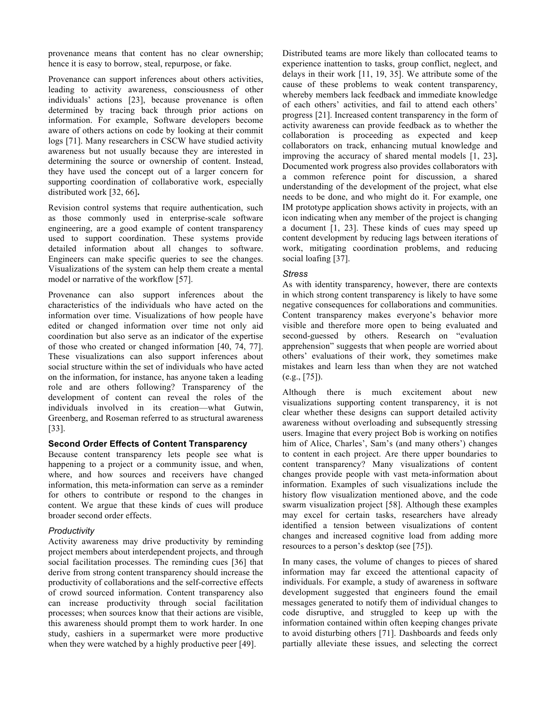provenance means that content has no clear ownership; hence it is easy to borrow, steal, repurpose, or fake.

Provenance can support inferences about others activities, leading to activity awareness, consciousness of other individuals' actions [23], because provenance is often determined by tracing back through prior actions on information. For example, Software developers become aware of others actions on code by looking at their commit logs [71]. Many researchers in CSCW have studied activity awareness but not usually because they are interested in determining the source or ownership of content. Instead, they have used the concept out of a larger concern for supporting coordination of collaborative work, especially distributed work [32, 66]**.** 

Revision control systems that require authentication, such as those commonly used in enterprise-scale software engineering, are a good example of content transparency used to support coordination. These systems provide detailed information about all changes to software. Engineers can make specific queries to see the changes. Visualizations of the system can help them create a mental model or narrative of the workflow [57].

Provenance can also support inferences about the characteristics of the individuals who have acted on the information over time. Visualizations of how people have edited or changed information over time not only aid coordination but also serve as an indicator of the expertise of those who created or changed information [40, 74, 77]. These visualizations can also support inferences about social structure within the set of individuals who have acted on the information, for instance, has anyone taken a leading role and are others following? Transparency of the development of content can reveal the roles of the individuals involved in its creation—what Gutwin, Greenberg, and Roseman referred to as structural awareness [33].

## **Second Order Effects of Content Transparency**

Because content transparency lets people see what is happening to a project or a community issue, and when, where, and how sources and receivers have changed information, this meta-information can serve as a reminder for others to contribute or respond to the changes in content. We argue that these kinds of cues will produce broader second order effects.

# *Productivity*

Activity awareness may drive productivity by reminding project members about interdependent projects, and through social facilitation processes. The reminding cues [36] that derive from strong content transparency should increase the productivity of collaborations and the self-corrective effects of crowd sourced information. Content transparency also can increase productivity through social facilitation processes; when sources know that their actions are visible, this awareness should prompt them to work harder. In one study, cashiers in a supermarket were more productive when they were watched by a highly productive peer [49].

Distributed teams are more likely than collocated teams to experience inattention to tasks, group conflict, neglect, and delays in their work [11, 19, 35]. We attribute some of the cause of these problems to weak content transparency, whereby members lack feedback and immediate knowledge of each others' activities, and fail to attend each others' progress [21]. Increased content transparency in the form of activity awareness can provide feedback as to whether the collaboration is proceeding as expected and keep collaborators on track, enhancing mutual knowledge and improving the accuracy of shared mental models [1, 23]**.** Documented work progress also provides collaborators with a common reference point for discussion, a shared understanding of the development of the project, what else needs to be done, and who might do it. For example, one IM prototype application shows activity in projects, with an icon indicating when any member of the project is changing a document [1, 23]. These kinds of cues may speed up content development by reducing lags between iterations of work, mitigating coordination problems, and reducing social loafing [37].

# *Stress*

As with identity transparency, however, there are contexts in which strong content transparency is likely to have some negative consequences for collaborations and communities. Content transparency makes everyone's behavior more visible and therefore more open to being evaluated and second-guessed by others. Research on "evaluation apprehension" suggests that when people are worried about others' evaluations of their work, they sometimes make mistakes and learn less than when they are not watched (e.g., [75]).

Although there is much excitement about new visualizations supporting content transparency, it is not clear whether these designs can support detailed activity awareness without overloading and subsequently stressing users. Imagine that every project Bob is working on notifies him of Alice, Charles', Sam's (and many others') changes to content in each project. Are there upper boundaries to content transparency? Many visualizations of content changes provide people with vast meta-information about information. Examples of such visualizations include the history flow visualization mentioned above, and the code swarm visualization project [58]. Although these examples may excel for certain tasks, researchers have already identified a tension between visualizations of content changes and increased cognitive load from adding more resources to a person's desktop (see [75]).

In many cases, the volume of changes to pieces of shared information may far exceed the attentional capacity of individuals. For example, a study of awareness in software development suggested that engineers found the email messages generated to notify them of individual changes to code disruptive, and struggled to keep up with the information contained within often keeping changes private to avoid disturbing others [71]. Dashboards and feeds only partially alleviate these issues, and selecting the correct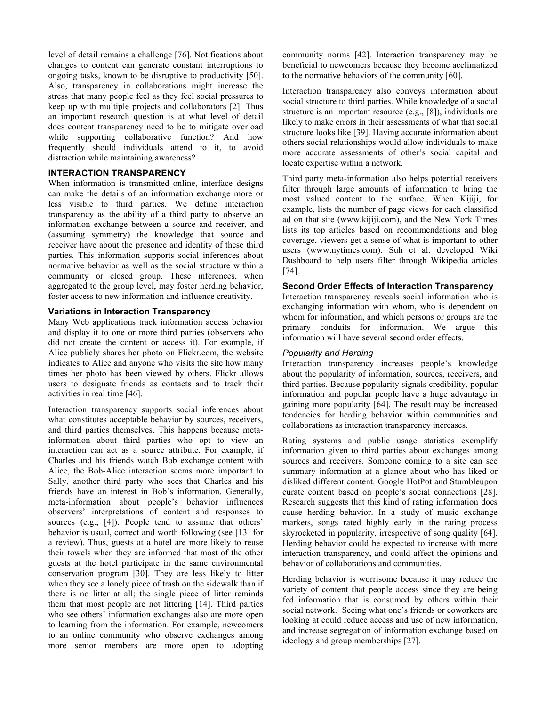level of detail remains a challenge [76]. Notifications about changes to content can generate constant interruptions to ongoing tasks, known to be disruptive to productivity [50]. Also, transparency in collaborations might increase the stress that many people feel as they feel social pressures to keep up with multiple projects and collaborators [2]. Thus an important research question is at what level of detail does content transparency need to be to mitigate overload while supporting collaborative function? And how frequently should individuals attend to it, to avoid distraction while maintaining awareness?

## **INTERACTION TRANSPARENCY**

When information is transmitted online, interface designs can make the details of an information exchange more or less visible to third parties. We define interaction transparency as the ability of a third party to observe an information exchange between a source and receiver, and (assuming symmetry) the knowledge that source and receiver have about the presence and identity of these third parties. This information supports social inferences about normative behavior as well as the social structure within a community or closed group. These inferences, when aggregated to the group level, may foster herding behavior, foster access to new information and influence creativity.

#### **Variations in Interaction Transparency**

Many Web applications track information access behavior and display it to one or more third parties (observers who did not create the content or access it). For example, if Alice publicly shares her photo on Flickr.com, the website indicates to Alice and anyone who visits the site how many times her photo has been viewed by others. Flickr allows users to designate friends as contacts and to track their activities in real time [46].

Interaction transparency supports social inferences about what constitutes acceptable behavior by sources, receivers, and third parties themselves. This happens because metainformation about third parties who opt to view an interaction can act as a source attribute. For example, if Charles and his friends watch Bob exchange content with Alice, the Bob-Alice interaction seems more important to Sally, another third party who sees that Charles and his friends have an interest in Bob's information. Generally, meta-information about people's behavior influences observers' interpretations of content and responses to sources (e.g., [4]). People tend to assume that others' behavior is usual, correct and worth following (see [13] for a review). Thus, guests at a hotel are more likely to reuse their towels when they are informed that most of the other guests at the hotel participate in the same environmental conservation program [30]. They are less likely to litter when they see a lonely piece of trash on the sidewalk than if there is no litter at all; the single piece of litter reminds them that most people are not littering [14]. Third parties who see others' information exchanges also are more open to learning from the information. For example, newcomers to an online community who observe exchanges among more senior members are more open to adopting

community norms [42]. Interaction transparency may be beneficial to newcomers because they become acclimatized to the normative behaviors of the community [60].

Interaction transparency also conveys information about social structure to third parties. While knowledge of a social structure is an important resource (e.g., [8]), individuals are likely to make errors in their assessments of what that social structure looks like [39]. Having accurate information about others social relationships would allow individuals to make more accurate assessments of other's social capital and locate expertise within a network.

Third party meta-information also helps potential receivers filter through large amounts of information to bring the most valued content to the surface. When Kijiji, for example, lists the number of page views for each classified ad on that site (www.kijiji.com), and the New York Times lists its top articles based on recommendations and blog coverage, viewers get a sense of what is important to other users (www.nytimes.com). Suh et al. developed Wiki Dashboard to help users filter through Wikipedia articles [74].

## **Second Order Effects of Interaction Transparency**

Interaction transparency reveals social information who is exchanging information with whom, who is dependent on whom for information, and which persons or groups are the primary conduits for information. We argue this information will have several second order effects.

#### *Popularity and Herding*

Interaction transparency increases people's knowledge about the popularity of information, sources, receivers, and third parties. Because popularity signals credibility, popular information and popular people have a huge advantage in gaining more popularity [64]. The result may be increased tendencies for herding behavior within communities and collaborations as interaction transparency increases.

Rating systems and public usage statistics exemplify information given to third parties about exchanges among sources and receivers. Someone coming to a site can see summary information at a glance about who has liked or disliked different content. Google HotPot and Stumbleupon curate content based on people's social connections [28]. Research suggests that this kind of rating information does cause herding behavior. In a study of music exchange markets, songs rated highly early in the rating process skyrocketed in popularity, irrespective of song quality [64]. Herding behavior could be expected to increase with more interaction transparency, and could affect the opinions and behavior of collaborations and communities.

Herding behavior is worrisome because it may reduce the variety of content that people access since they are being fed information that is consumed by others within their social network. Seeing what one's friends or coworkers are looking at could reduce access and use of new information, and increase segregation of information exchange based on ideology and group memberships [27].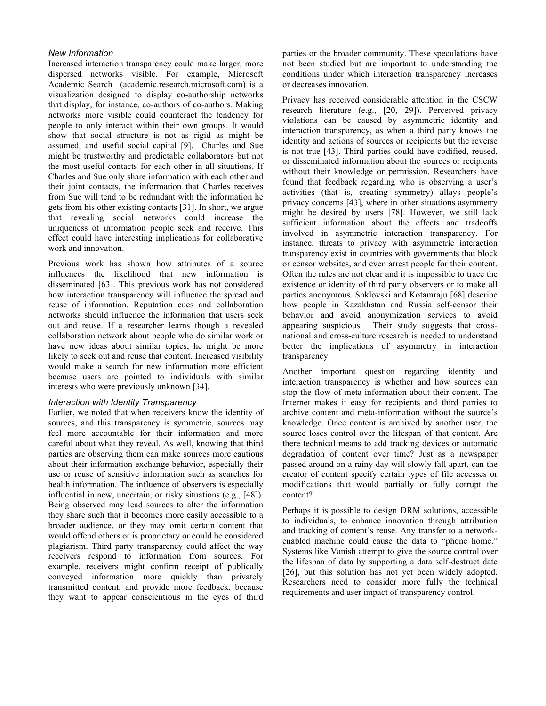# *New Information*

Increased interaction transparency could make larger, more dispersed networks visible. For example, Microsoft Academic Search (academic.research.microsoft.com) is a visualization designed to display co-authorship networks that display, for instance, co-authors of co-authors. Making networks more visible could counteract the tendency for people to only interact within their own groups. It would show that social structure is not as rigid as might be assumed, and useful social capital [9]. Charles and Sue might be trustworthy and predictable collaborators but not the most useful contacts for each other in all situations. If Charles and Sue only share information with each other and their joint contacts, the information that Charles receives from Sue will tend to be redundant with the information he gets from his other existing contacts [31]. In short, we argue that revealing social networks could increase the uniqueness of information people seek and receive. This effect could have interesting implications for collaborative work and innovation.

Previous work has shown how attributes of a source influences the likelihood that new information is disseminated [63]. This previous work has not considered how interaction transparency will influence the spread and reuse of information. Reputation cues and collaboration networks should influence the information that users seek out and reuse. If a researcher learns though a revealed collaboration network about people who do similar work or have new ideas about similar topics, he might be more likely to seek out and reuse that content. Increased visibility would make a search for new information more efficient because users are pointed to individuals with similar interests who were previously unknown [34].

## *Interaction with Identity Transparency*

Earlier, we noted that when receivers know the identity of sources, and this transparency is symmetric, sources may feel more accountable for their information and more careful about what they reveal. As well, knowing that third parties are observing them can make sources more cautious about their information exchange behavior, especially their use or reuse of sensitive information such as searches for health information. The influence of observers is especially influential in new, uncertain, or risky situations (e.g., [48]). Being observed may lead sources to alter the information they share such that it becomes more easily accessible to a broader audience, or they may omit certain content that would offend others or is proprietary or could be considered plagiarism. Third party transparency could affect the way receivers respond to information from sources. For example, receivers might confirm receipt of publically conveyed information more quickly than privately transmitted content, and provide more feedback, because they want to appear conscientious in the eyes of third

parties or the broader community. These speculations have not been studied but are important to understanding the conditions under which interaction transparency increases or decreases innovation.

Privacy has received considerable attention in the CSCW research literature (e.g., [20, 29]). Perceived privacy violations can be caused by asymmetric identity and interaction transparency, as when a third party knows the identity and actions of sources or recipients but the reverse is not true [43]. Third parties could have codified, reused, or disseminated information about the sources or recipients without their knowledge or permission. Researchers have found that feedback regarding who is observing a user's activities (that is, creating symmetry) allays people's privacy concerns [43], where in other situations asymmetry might be desired by users [78]. However, we still lack sufficient information about the effects and tradeoffs involved in asymmetric interaction transparency. For instance, threats to privacy with asymmetric interaction transparency exist in countries with governments that block or censor websites, and even arrest people for their content. Often the rules are not clear and it is impossible to trace the existence or identity of third party observers or to make all parties anonymous. Shklovski and Kotamraju [68] describe how people in Kazakhstan and Russia self-censor their behavior and avoid anonymization services to avoid appearing suspicious. Their study suggests that crossnational and cross-culture research is needed to understand better the implications of asymmetry in interaction transparency.

Another important question regarding identity and interaction transparency is whether and how sources can stop the flow of meta-information about their content. The Internet makes it easy for recipients and third parties to archive content and meta-information without the source's knowledge. Once content is archived by another user, the source loses control over the lifespan of that content. Are there technical means to add tracking devices or automatic degradation of content over time? Just as a newspaper passed around on a rainy day will slowly fall apart, can the creator of content specify certain types of file accesses or modifications that would partially or fully corrupt the content?

Perhaps it is possible to design DRM solutions, accessible to individuals, to enhance innovation through attribution and tracking of content's reuse. Any transfer to a networkenabled machine could cause the data to "phone home." Systems like Vanish attempt to give the source control over the lifespan of data by supporting a data self-destruct date [26], but this solution has not yet been widely adopted. Researchers need to consider more fully the technical requirements and user impact of transparency control.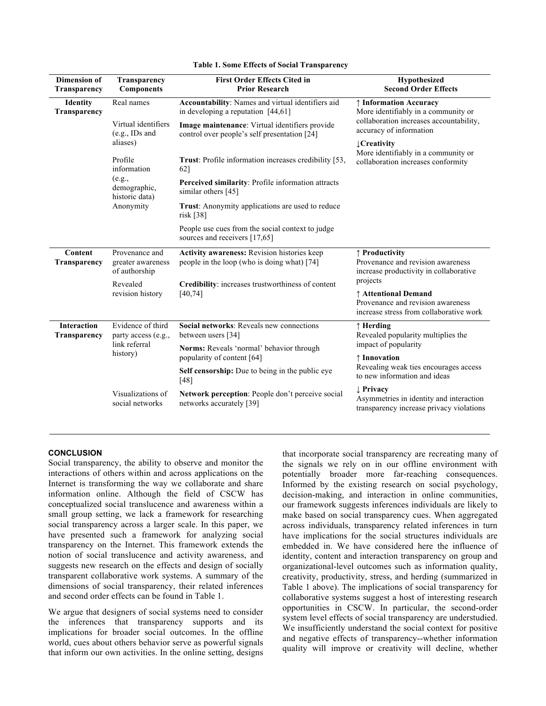| <b>Dimension of</b><br>Transparency | Transparency<br><b>Components</b>                                               | <b>First Order Effects Cited in</b><br><b>Prior Research</b>                                                                                                | Hypothesized<br><b>Second Order Effects</b>                                                                                                                                                                                             |
|-------------------------------------|---------------------------------------------------------------------------------|-------------------------------------------------------------------------------------------------------------------------------------------------------------|-----------------------------------------------------------------------------------------------------------------------------------------------------------------------------------------------------------------------------------------|
| <b>Identity</b><br>Transparency     | Real names                                                                      | Accountability: Names and virtual identifiers aid<br>in developing a reputation $[44,61]$                                                                   | ↑ Information Accuracy<br>More identifiably in a community or<br>collaboration increases accountability,<br>accuracy of information<br><b>L</b> Creativity<br>More identifiably in a community or<br>collaboration increases conformity |
|                                     | Virtual identifiers<br>(e.g., IDs and<br>aliases)                               | Image maintenance: Virtual identifiers provide<br>control over people's self presentation [24]                                                              |                                                                                                                                                                                                                                         |
|                                     | Profile<br>information<br>(e.g.,<br>demographic,<br>historic data)<br>Anonymity | <b>Trust:</b> Profile information increases credibility [53,<br>62]                                                                                         |                                                                                                                                                                                                                                         |
|                                     |                                                                                 | Perceived similarity: Profile information attracts<br>similar others [45]                                                                                   |                                                                                                                                                                                                                                         |
|                                     |                                                                                 | <b>Trust:</b> Anonymity applications are used to reduce<br>risk $\lceil 38 \rceil$                                                                          |                                                                                                                                                                                                                                         |
|                                     |                                                                                 | People use cues from the social context to judge<br>sources and receivers [17,65]                                                                           |                                                                                                                                                                                                                                         |
| <b>Content</b><br>Transparency      | Provenance and<br>greater awareness<br>of authorship                            | Activity awareness: Revision histories keep<br>people in the loop (who is doing what) [74]<br>Credibility: increases trustworthiness of content<br>[40, 74] | ↑ Productivity<br>Provenance and revision awareness<br>increase productivity in collaborative<br>projects                                                                                                                               |
|                                     | Revealed<br>revision history                                                    |                                                                                                                                                             | ↑ Attentional Demand<br>Provenance and revision awareness<br>increase stress from collaborative work                                                                                                                                    |
| <b>Interaction</b><br>Transparency  | Evidence of third<br>party access (e.g.,<br>link referral<br>history)           | Social networks: Reveals new connections<br>between users [34]                                                                                              | $\uparrow$ Herding<br>Revealed popularity multiplies the<br>impact of popularity                                                                                                                                                        |
|                                     |                                                                                 | Norms: Reveals 'normal' behavior through<br>popularity of content [64]                                                                                      | ↑ Innovation                                                                                                                                                                                                                            |
|                                     |                                                                                 | Self censorship: Due to being in the public eye<br>[48]                                                                                                     | Revealing weak ties encourages access<br>to new information and ideas                                                                                                                                                                   |
|                                     | Visualizations of<br>social networks                                            | Network perception: People don't perceive social<br>networks accurately [39]                                                                                | ↓ Privacy<br>Asymmetries in identity and interaction<br>transparency increase privacy violations                                                                                                                                        |

## **Table 1. Some Effects of Social Transparency**

#### **CONCLUSION**

Social transparency, the ability to observe and monitor the interactions of others within and across applications on the Internet is transforming the way we collaborate and share information online. Although the field of CSCW has conceptualized social translucence and awareness within a small group setting, we lack a framework for researching social transparency across a larger scale. In this paper, we have presented such a framework for analyzing social transparency on the Internet. This framework extends the notion of social translucence and activity awareness, and suggests new research on the effects and design of socially transparent collaborative work systems. A summary of the dimensions of social transparency, their related inferences and second order effects can be found in Table 1.

We argue that designers of social systems need to consider the inferences that transparency supports and its implications for broader social outcomes. In the offline world, cues about others behavior serve as powerful signals that inform our own activities. In the online setting, designs

that incorporate social transparency are recreating many of the signals we rely on in our offline environment with potentially broader more far-reaching consequences. Informed by the existing research on social psychology, decision-making, and interaction in online communities, our framework suggests inferences individuals are likely to make based on social transparency cues. When aggregated across individuals, transparency related inferences in turn have implications for the social structures individuals are embedded in. We have considered here the influence of identity, content and interaction transparency on group and organizational-level outcomes such as information quality, creativity, productivity, stress, and herding (summarized in Table 1 above). The implications of social transparency for collaborative systems suggest a host of interesting research opportunities in CSCW. In particular, the second-order system level effects of social transparency are understudied. We insufficiently understand the social context for positive and negative effects of transparency--whether information quality will improve or creativity will decline, whether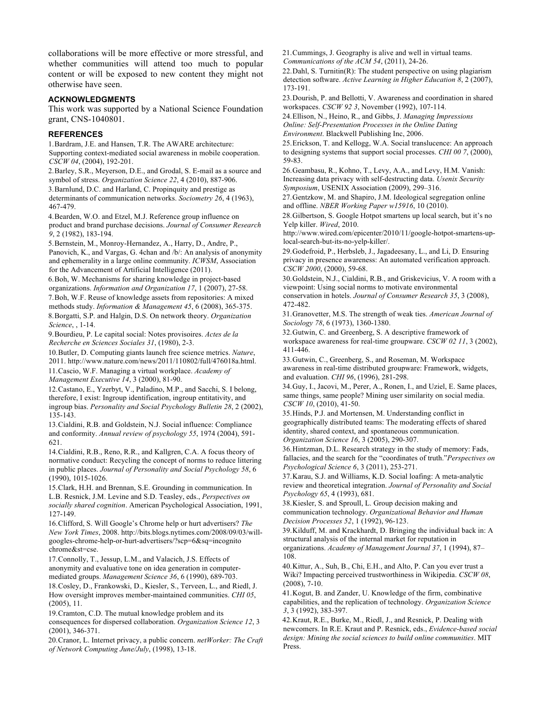collaborations will be more effective or more stressful, and whether communities will attend too much to popular content or will be exposed to new content they might not otherwise have seen.

#### **ACKNOWLEDGMENTS**

This work was supported by a National Science Foundation grant, CNS-1040801.

#### **REFERENCES**

1.Bardram, J.E. and Hansen, T.R. The AWARE architecture: Supporting context-mediated social awareness in mobile cooperation. *CSCW 04*, (2004), 192-201.

2.Barley, S.R., Meyerson, D.E., and Grodal, S. E-mail as a source and symbol of stress. *Organization Science 22*, 4 (2010), 887-906. 3.Barnlund, D.C. and Harland, C. Propinquity and prestige as determinants of communication networks. *Sociometry 26*, 4 (1963),

467-479. 4.Bearden, W.O. and Etzel, M.J. Reference group influence on product and brand purchase decisions. *Journal of Consumer Research* 

*9*, 2 (1982), 183-194. 5.Bernstein, M., Monroy-Hernandez, A., Harry, D., Andre, P., Panovich, K., and Vargas, G. 4chan and /b/: An analysis of anonymity and ephemerality in a large online community. *ICWSM*, Association for the Advancement of Artificial Intelligence (2011).

6.Boh, W. Mechanisms for sharing knowledge in project-based organizations. *Information and Organization 17*, 1 (2007), 27-58.

7.Boh, W.F. Reuse of knowledge assets from repositories: A mixed methods study. *Information & Management 45*, 6 (2008), 365-375. 8.Borgatti, S.P. and Halgin, D.S. On network theory. *Organization Science*, , 1-14.

9.Bourdieu, P. Le capital social: Notes provisoires. *Actes de la Recherche en Sciences Sociales 31*, (1980), 2-3.

10.Butler, D. Computing giants launch free science metrics. *Nature*, 2011. http://www.nature.com/news/2011/110802/full/476018a.html.

11.Cascio, W.F. Managing a virtual workplace. *Academy of Management Executive 14*, 3 (2000), 81-90.

12.Castano, E., Yzerbyt, V., Paladino, M.P., and Sacchi, S. I belong, therefore, I exist: Ingroup identification, ingroup entitativity, and ingroup bias. *Personality and Social Psychology Bulletin 28*, 2 (2002), 135-143.

13.Cialdini, R.B. and Goldstein, N.J. Social influence: Compliance and conformity. *Annual review of psychology 55*, 1974 (2004), 591- 621.

14.Cialdini, R.B., Reno, R.R., and Kallgren, C.A. A focus theory of normative conduct: Recycling the concept of norms to reduce littering in public places. *Journal of Personality and Social Psychology 58*, 6 (1990), 1015-1026.

15.Clark, H.H. and Brennan, S.E. Grounding in communication. In L.B. Resnick, J.M. Levine and S.D. Teasley, eds., *Perspectives on socially shared cognition*. American Psychological Association, 1991, 127-149.

16.Clifford, S. Will Google's Chrome help or hurt advertisers? *The New York Times*, 2008. http://bits.blogs.nytimes.com/2008/09/03/willgoogles-chrome-help-or-hurt-advertisers/?scp=6&sq=incognito chrome&st=cse.

17.Connolly, T., Jessup, L.M., and Valacich, J.S. Effects of anonymity and evaluative tone on idea generation in computermediated groups. *Management Science 36*, 6 (1990), 689-703.

18.Cosley, D., Frankowski, D., Kiesler, S., Terveen, L., and Riedl, J. How oversight improves member-maintained communities. *CHI 05*, (2005), 11.

19.Cramton, C.D. The mutual knowledge problem and its consequences for dispersed collaboration. *Organization Science 12*, 3 (2001), 346-371.

20.Cranor, L. Internet privacy, a public concern. *netWorker: The Craft of Network Computing June/July*, (1998), 13-18.

21.Cummings, J. Geography is alive and well in virtual teams.

*Communications of the ACM 54*, (2011), 24-26.

22. Dahl, S. Turnitin $(R)$ : The student perspective on using plagiarism detection software. *Active Learning in Higher Education 8*, 2 (2007), 173-191.

23.Dourish, P. and Bellotti, V. Awareness and coordination in shared workspaces. *CSCW 92 3*, November (1992), 107-114.

24.Ellison, N., Heino, R., and Gibbs, J. *Managing Impressions Online: Self-Presentation Processes in the Online Dating Environment*. Blackwell Publishing Inc, 2006.

25.Erickson, T. and Kellogg, W.A. Social translucence: An approach to designing systems that support social processes. *CHI 00 7*, (2000), 59-83.

26.Geambasu, R., Kohno, T., Levy, A.A., and Levy, H.M. Vanish: Increasing data privacy with self-destructing data. *Usenix Security Symposium*, USENIX Association (2009), 299–316.

27.Gentzkow, M. and Shapiro, J.M. Ideological segregation online and offline. *NBER Working Paper w15916*, 10 (2010).

28.Gilbertson, S. Google Hotpot smartens up local search, but it's no Yelp killer. *Wired*, 2010.

http://www.wired.com/epicenter/2010/11/google-hotpot-smartens-uplocal-search-but-its-no-yelp-killer/.

29.Godefroid, P., Herbsleb, J., Jagadeesany, L., and Li, D. Ensuring privacy in presence awareness: An automated verification approach. *CSCW 2000*, (2000), 59-68.

30.Goldstein, N.J., Cialdini, R.B., and Griskevicius, V. A room with a viewpoint: Using social norms to motivate environmental

conservation in hotels. *Journal of Consumer Research 35*, 3 (2008), 472-482.

31.Granovetter, M.S. The strength of weak ties. *American Journal of Sociology 78*, 6 (1973), 1360-1380.

32.Gutwin, C. and Greenberg, S. A descriptive framework of workspace awareness for real-time groupware. *CSCW 02 11*, 3 (2002), 411-446.

33.Gutwin, C., Greenberg, S., and Roseman, M. Workspace awareness in real-time distributed groupware: Framework, widgets, and evaluation. *CHI 96*, (1996), 281-298.

34.Guy, I., Jacovi, M., Perer, A., Ronen, I., and Uziel, E. Same places, same things, same people? Mining user similarity on social media. *CSCW 10*, (2010), 41-50.

35.Hinds, P.J. and Mortensen, M. Understanding conflict in geographically distributed teams: The moderating effects of shared identity, shared context, and spontaneous communication. *Organization Science 16*, 3 (2005), 290-307.

36.Hintzman, D.L. Research strategy in the study of memory: Fads, fallacies, and the search for the "coordinates of truth."*Perspectives on Psychological Science 6*, 3 (2011), 253-271.

37.Karau, S.J. and Williams, K.D. Social loafing: A meta-analytic review and theoretical integration. *Journal of Personality and Social Psychology 65*, 4 (1993), 681.

38.Kiesler, S. and Sproull, L. Group decision making and communication technology. *Organizational Behavior and Human Decision Processes 52*, 1 (1992), 96-123.

39.Kilduff, M. and Krackhardt, D. Bringing the individual back in: A structural analysis of the internal market for reputation in organizations. *Academy of Management Journal 37*, 1 (1994), 87–

40.Kittur, A., Suh, B., Chi, E.H., and Alto, P. Can you ever trust a Wiki? Impacting perceived trustworthiness in Wikipedia. *CSCW 08*, (2008), 7-10.

108.

41.Kogut, B. and Zander, U. Knowledge of the firm, combinative capabilities, and the replication of technology. *Organization Science 3*, 3 (1992), 383-397.

42.Kraut, R.E., Burke, M., Riedl, J., and Resnick, P. Dealing with newcomers. In R.E. Kraut and P. Resnick, eds., *Evidence-based social design: Mining the social sciences to build online communities*. MIT Press.